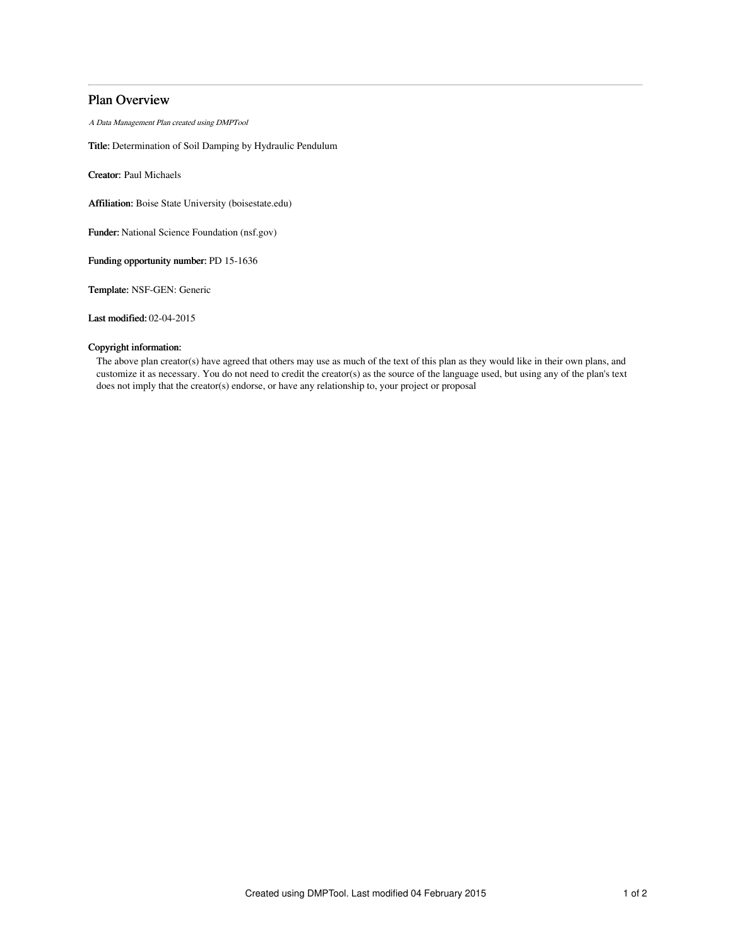# Plan Overview

A Data Management Plan created using DMPTool

Title: Determination of Soil Damping by Hydraulic Pendulum

Creator: Paul Michaels

Affiliation: Boise State University (boisestate.edu)

Funder: National Science Foundation (nsf.gov)

Funding opportunity number: PD 15-1636

Template: NSF-GEN: Generic

Last modified: 02-04-2015

## Copyright information:

The above plan creator(s) have agreed that others may use as much of the text of this plan as they would like in their own plans, and customize it as necessary. You do not need to credit the creator(s) as the source of the language used, but using any of the plan's text does not imply that the creator(s) endorse, or have any relationship to, your project or proposal